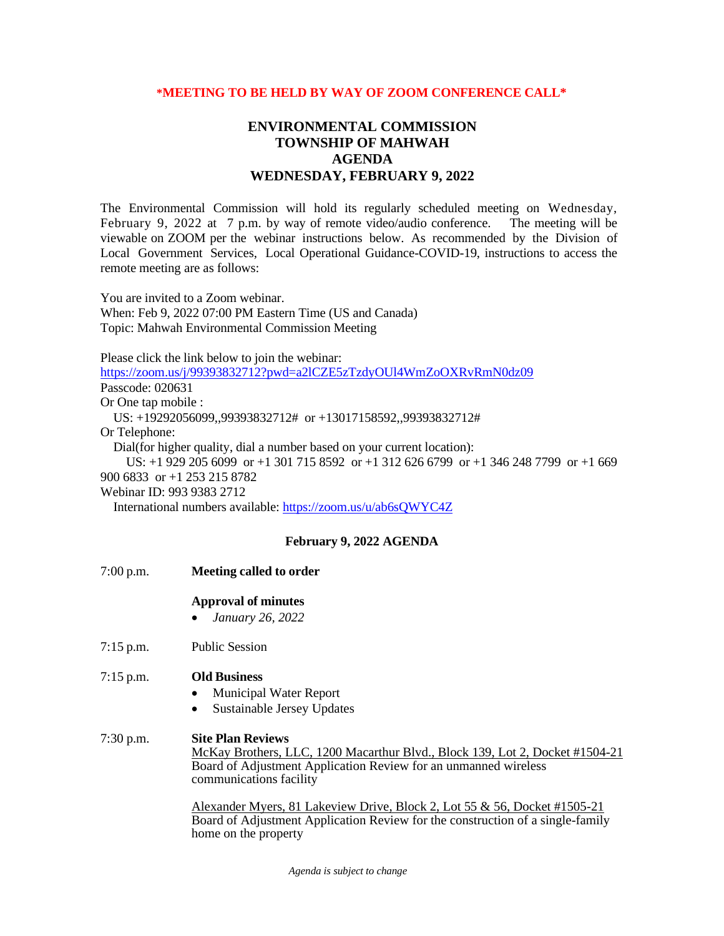## **\*MEETING TO BE HELD BY WAY OF ZOOM CONFERENCE CALL\***

## **ENVIRONMENTAL COMMISSION TOWNSHIP OF MAHWAH AGENDA WEDNESDAY, FEBRUARY 9, 2022**

The Environmental Commission will hold its regularly scheduled meeting on Wednesday, February 9, 2022 at 7 p.m. by way of remote video/audio conference. The meeting will be viewable on ZOOM per the webinar instructions below. As recommended by the Division of Local Government Services, Local Operational Guidance-COVID-19, instructions to access the remote meeting are as follows:

You are invited to a Zoom webinar. When: Feb 9, 2022 07:00 PM Eastern Time (US and Canada) Topic: Mahwah Environmental Commission Meeting

Please click the link below to join the webinar:

<https://zoom.us/j/99393832712?pwd=a2lCZE5zTzdyOUl4WmZoOXRvRmN0dz09> Passcode: 020631

Or One tap mobile :

US: +19292056099,,99393832712# or +13017158592,,99393832712#

Or Telephone:

Dial(for higher quality, dial a number based on your current location):

 US: +1 929 205 6099 or +1 301 715 8592 or +1 312 626 6799 or +1 346 248 7799 or +1 669 900 6833 or +1 253 215 8782

Webinar ID: 993 9383 2712

International numbers available:<https://zoom.us/u/ab6sQWYC4Z>

## **February 9, 2022 AGENDA**

7:00 p.m. **Meeting called to order Approval of minutes** • *January 26, 2022* 7:15 p.m. Public Session 7:15 p.m. **Old Business** • Municipal Water Report Sustainable Jersey Updates 7:30 p.m. **Site Plan Reviews** McKay Brothers, LLC, 1200 Macarthur Blvd., Block 139, Lot 2, Docket #1504-21 Board of Adjustment Application Review for an unmanned wireless communications facility Alexander Myers, 81 Lakeview Drive, Block 2, Lot 55 & 56, Docket #1505-21 Board of Adjustment Application Review for the construction of a single-family

home on the property